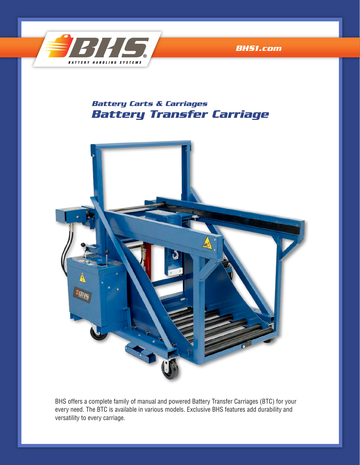

*[BHS1.com](http://www.bhs1.com)*

# *Battery Transfer Carriage Battery Carts & Carriages*



BHS offers a complete family of manual and powered Battery Transfer Carriages (BTC) for your every need. The BTC is available in various models. Exclusive BHS features add durability and versatility to every carriage.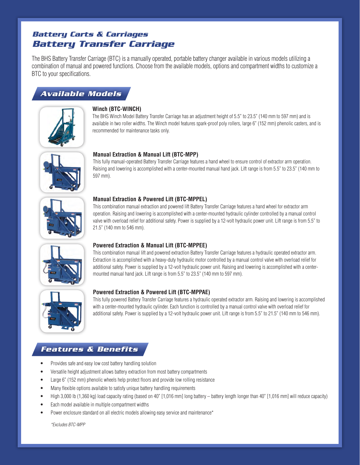# *Battery Transfer Carriage Battery Carts & Carriages*

The BHS Battery Transfer Carriage (BTC) is a manually operated, portable battery changer available in various models utilizing a combination of manual and powered functions. Choose from the available models, options and compartment widths to customize a BTC to your specifications.

# *Available Models*



# **Winch (BTC-WINCH)**

The BHS Winch Model Battery Transfer Carriage has an adjustment height of 5.5" to 23.5" (140 mm to 597 mm) and is available in two roller widths. The Winch model features spark-proof poly rollers, large 6" (152 mm) phenolic casters, and is recommended for maintenance tasks only.



# **Manual Extraction & Manual Lift (BTC-MPP)**

This fully manual-operated Battery Transfer Carriage features a hand wheel to ensure control of extractor arm operation. Raising and lowering is accomplished with a center-mounted manual hand jack. Lift range is from 5.5" to 23.5" (140 mm to 597 mm).



## **Manual Extraction & Powered Lift (BTC-MPPEL)**

This combination manual extraction and powered lift Battery Transfer Carriage features a hand wheel for extractor arm operation. Raising and lowering is accomplished with a center-mounted hydraulic cylinder controlled by a manual control valve with overload relief for additional safety. Power is supplied by a 12-volt hydraulic power unit. Lift range is from 5.5" to 21.5" (140 mm to 546 mm).



## **Powered Extraction & Manual Lift (BTC-MPPEE)**

This combination manual lift and powered extraction Battery Transfer Carriage features a hydraulic operated extractor arm. Extraction is accomplished with a heavy-duty hydraulic motor controlled by a manual control valve with overload relief for additional safety. Power is supplied by a 12-volt hydraulic power unit. Raising and lowering is accomplished with a centermounted manual hand jack. Lift range is from 5.5" to 23.5" (140 mm to 597 mm).



## **Powered Extraction & Powered Lift (BTC-MPPAE)**

This fully powered Battery Transfer Carriage features a hydraulic operated extractor arm. Raising and lowering is accomplished with a center-mounted hydraulic cylinder. Each function is controlled by a manual control valve with overload relief for additional safety. Power is supplied by a 12-volt hydraulic power unit. Lift range is from 5.5" to 21.5" (140 mm to 546 mm).

# *Features & Benefits*

- Provides safe and easy low cost battery handling solution
- Versatile height adjustment allows battery extraction from most battery compartments
- Large 6" (152 mm) phenolic wheels help protect floors and provide low rolling resistance
- Many flexible options available to satisfy unique battery handling requirements
- High 3,000 lb (1,360 kg) load capacity rating (based on 40" [1,016 mm] long battery battery length longer than 40" [1,016 mm] will reduce capacity)
- Each model available in multiple compartment widths
- Power enclosure standard on all electric models allowing easy service and maintenance\*

*\*Excludes BTC-MPP*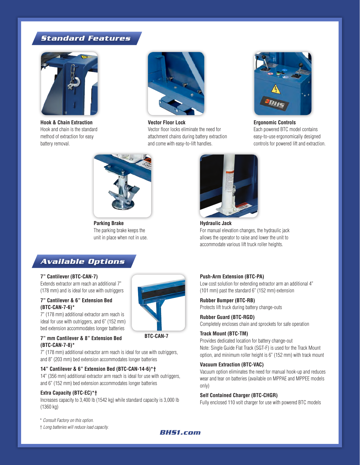# *Standard Features*



**Hook & Chain Extraction**  Hook and chain is the standard method of extraction for easy battery removal.



**Vector Floor Lock** Vector floor locks eliminate the need for attachment chains during battery extraction and come with easy-to-lift handles.



**Ergonomic Controls** Each powered BTC model contains easy-to-use ergonomically designed controls for powered lift and extraction.



**Parking Brake**  The parking brake keeps the unit in place when not in use.

# *Available Options*

#### **7" Cantilever (BTC-CAN-7)**

Extends extractor arm reach an additional 7" (178 mm) and is ideal for use with outriggers

### **7" Cantilever & 6" Extension Bed (BTC-CAN-7-6)\***

7" (178 mm) additional extractor arm reach is ideal for use with outriggers, and 6" (152 mm) bed extension accommodates longer batteries

#### **7" mm Cantilever & 8" Extension Bed (BTC-CAN-7-8)\***

**BTC-CAN-7**

7" (178 mm) additional extractor arm reach is ideal for use with outriggers, and 8" (203 mm) bed extension accommodates longer batteries

### **14" Cantilever & 6" Extension Bed (BTC-CAN-14-6)\*†**

14" (356 mm) additional extractor arm reach is ideal for use with outriggers, and 6" (152 mm) bed extension accommodates longer batteries

### **Extra Capacity (BTC-EC)\*†**

Increases capacity to 3,400 lb (1542 kg) while standard capacity is 3,000 lb (1360 kg)

\* *Consult Factory on this option.*

† *Long batteries will reduce load capacity.*



**Hydraulic Jack**  For manual elevation changes, the hydraulic jack allows the operator to raise and lower the unit to accommodate various lift truck roller heights.

#### **Push-Arm Extension (BTC-PA)**

Low cost solution for extending extractor arm an additional 4" (101 mm) past the standard 6" (152 mm) extension

**Rubber Bumper (BTC-RB)** Protects lift truck during battery change-outs

#### **Rubber Guard (BTC-RGD)**

Completely encloses chain and sprockets for safe operation

### **Track Mount (BTC-TM)**

Provides dedicated location for battery change-out Note: Single Guide Flat Track (SGT-F) is used for the Track Mount option, and minimum roller height is 6" (152 mm) with track mount

#### **Vacuum Extraction (BTC-VAC)**

Vacuum option eliminates the need for manual hook-up and reduces wear and tear on batteries (available on MPPAE and MPPEE models only)

#### **Self Contained Charger (BTC-CHGR)**

Fully enclosed 110 volt charger for use with powered BTC models